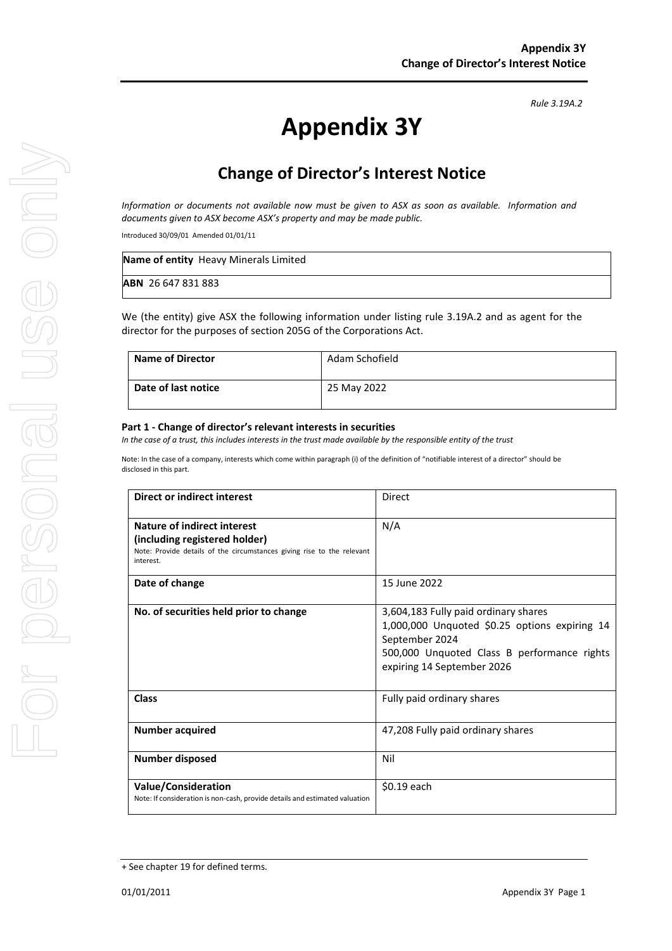# **Appendix 3Y**

# **Change of Director's Interest Notice**

*Information or documents not available now must be given to ASX as soon as available. Information and documents given to ASX become ASX's property and may be made public.*

Introduced 30/09/01 Amended 01/01/11

| <b>Name of entity</b> Heavy Minerals Limited |  |
|----------------------------------------------|--|
| <b>ABN</b> 26 647 831 883                    |  |

We (the entity) give ASX the following information under listing rule 3.19A.2 and as agent for the director for the purposes of section 205G of the Corporations Act.

| <b>Name of Director</b> | Adam Schofield |
|-------------------------|----------------|
| Date of last notice     | 25 May 2022    |

#### **Part 1 - Change of director's relevant interests in securities**

*In the case of a trust, this includes interests in the trust made available by the responsible entity of the trust*

Note: In the case of a company, interests which come within paragraph (i) of the definition of "notifiable interest of a director" should be disclosed in this part.

| <b>Direct or indirect interest</b>                                                                                                                  | <b>Direct</b>                                                                                                                                                                        |
|-----------------------------------------------------------------------------------------------------------------------------------------------------|--------------------------------------------------------------------------------------------------------------------------------------------------------------------------------------|
| Nature of indirect interest<br>(including registered holder)<br>Note: Provide details of the circumstances giving rise to the relevant<br>interest. | N/A                                                                                                                                                                                  |
| Date of change                                                                                                                                      | 15 June 2022                                                                                                                                                                         |
| No. of securities held prior to change                                                                                                              | 3,604,183 Fully paid ordinary shares<br>1,000,000 Unquoted \$0.25 options expiring 14<br>September 2024<br>500,000 Unquoted Class B performance rights<br>expiring 14 September 2026 |
| <b>Class</b>                                                                                                                                        | Fully paid ordinary shares                                                                                                                                                           |
| <b>Number acquired</b>                                                                                                                              | 47,208 Fully paid ordinary shares                                                                                                                                                    |
| Number disposed                                                                                                                                     | Nil                                                                                                                                                                                  |
| Value/Consideration<br>Note: If consideration is non-cash, provide details and estimated valuation                                                  | \$0.19 each                                                                                                                                                                          |

*Rule 3.19A.2*

<sup>+</sup> See chapter 19 for defined terms.